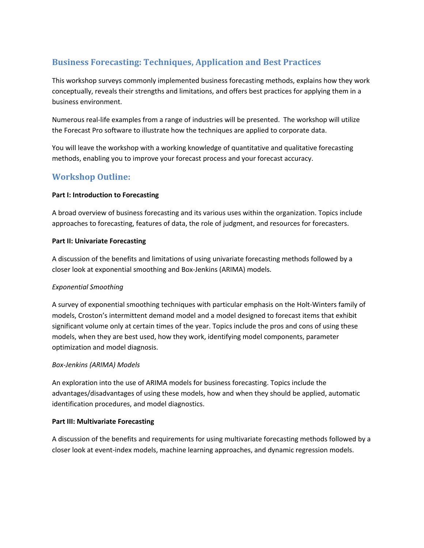# **Business Forecasting: Techniques, Application and Best Practices**

This workshop surveys commonly implemented business forecasting methods, explains how they work conceptually, reveals their strengths and limitations, and offers best practices for applying them in a business environment.

Numerous real-life examples from a range of industries will be presented. The workshop will utilize the Forecast Pro software to illustrate how the techniques are applied to corporate data.

You will leave the workshop with a working knowledge of quantitative and qualitative forecasting methods, enabling you to improve your forecast process and your forecast accuracy.

## **Workshop Outline:**

## **Part I: Introduction to Forecasting**

A broad overview of business forecasting and its various uses within the organization. Topics include approaches to forecasting, features of data, the role of judgment, and resources for forecasters.

## **Part II: Univariate Forecasting**

A discussion of the benefits and limitations of using univariate forecasting methods followed by a closer look at exponential smoothing and Box-Jenkins (ARIMA) models.

## *Exponential Smoothing*

A survey of exponential smoothing techniques with particular emphasis on the Holt-Winters family of models, Croston's intermittent demand model and a model designed to forecast items that exhibit significant volume only at certain times of the year. Topics include the pros and cons of using these models, when they are best used, how they work, identifying model components, parameter optimization and model diagnosis.

## *Box-Jenkins (ARIMA) Models*

An exploration into the use of ARIMA models for business forecasting. Topics include the advantages/disadvantages of using these models, how and when they should be applied, automatic identification procedures, and model diagnostics.

#### **Part III: Multivariate Forecasting**

A discussion of the benefits and requirements for using multivariate forecasting methods followed by a closer look at event-index models, machine learning approaches, and dynamic regression models.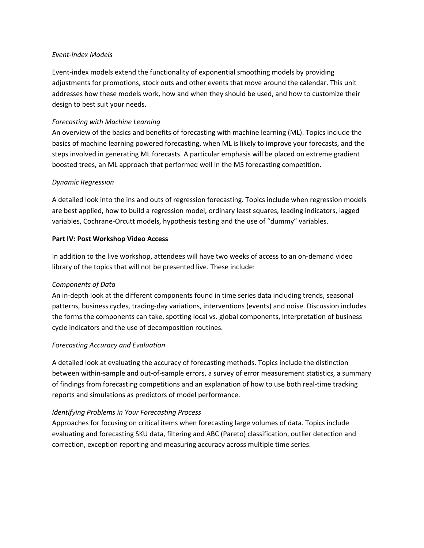#### *Event-index Models*

Event-index models extend the functionality of exponential smoothing models by providing adjustments for promotions, stock outs and other events that move around the calendar. This unit addresses how these models work, how and when they should be used, and how to customize their design to best suit your needs.

#### *Forecasting with Machine Learning*

An overview of the basics and benefits of forecasting with machine learning (ML). Topics include the basics of machine learning powered forecasting, when ML is likely to improve your forecasts, and the steps involved in generating ML forecasts. A particular emphasis will be placed on extreme gradient boosted trees, an ML approach that performed well in the M5 forecasting competition.

## *Dynamic Regression*

A detailed look into the ins and outs of regression forecasting. Topics include when regression models are best applied, how to build a regression model, ordinary least squares, leading indicators, lagged variables, Cochrane-Orcutt models, hypothesis testing and the use of "dummy" variables.

#### **Part IV: Post Workshop Video Access**

In addition to the live workshop, attendees will have two weeks of access to an on-demand video library of the topics that will not be presented live. These include:

## *Components of Data*

An in-depth look at the different components found in time series data including trends, seasonal patterns, business cycles, trading-day variations, interventions (events) and noise. Discussion includes the forms the components can take, spotting local vs. global components, interpretation of business cycle indicators and the use of decomposition routines.

#### *Forecasting Accuracy and Evaluation*

A detailed look at evaluating the accuracy of forecasting methods. Topics include the distinction between within-sample and out-of-sample errors, a survey of error measurement statistics, a summary of findings from forecasting competitions and an explanation of how to use both real-time tracking reports and simulations as predictors of model performance.

## *Identifying Problems in Your Forecasting Process*

Approaches for focusing on critical items when forecasting large volumes of data. Topics include evaluating and forecasting SKU data, filtering and ABC (Pareto) classification, outlier detection and correction, exception reporting and measuring accuracy across multiple time series.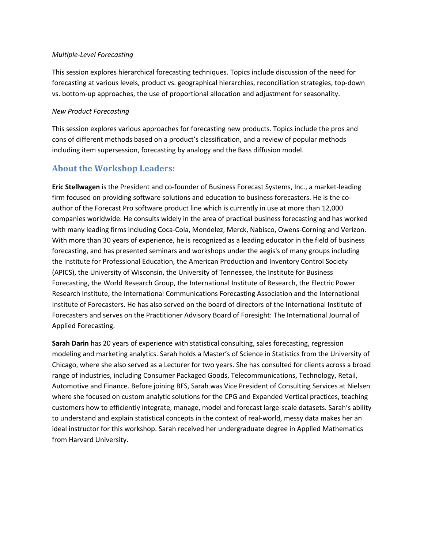#### *Multiple-Level Forecasting*

This session explores hierarchical forecasting techniques. Topics include discussion of the need for forecasting at various levels, product vs. geographical hierarchies, reconciliation strategies, top-down vs. bottom-up approaches, the use of proportional allocation and adjustment for seasonality.

#### *New Product Forecasting*

This session explores various approaches for forecasting new products. Topics include the pros and cons of different methods based on a product's classification, and a review of popular methods including item supersession, forecasting by analogy and the Bass diffusion model.

## **About the Workshop Leaders:**

**Eric Stellwagen** is the President and co-founder of Business Forecast Systems, Inc., a market-leading firm focused on providing software solutions and education to business forecasters. He is the coauthor of the Forecast Pro software product line which is currently in use at more than 12,000 companies worldwide. He consults widely in the area of practical business forecasting and has worked with many leading firms including Coca-Cola, Mondelez, Merck, Nabisco, Owens-Corning and Verizon. With more than 30 years of experience, he is recognized as a leading educator in the field of business forecasting, and has presented seminars and workshops under the aegis's of many groups including the Institute for Professional Education, the American Production and Inventory Control Society (APICS), the University of Wisconsin, the University of Tennessee, the Institute for Business Forecasting, the World Research Group, the International Institute of Research, the Electric Power Research Institute, the International Communications Forecasting Association and the International Institute of Forecasters. He has also served on the board of directors of the International Institute of Forecasters and serves on the Practitioner Advisory Board of Foresight: The International Journal of Applied Forecasting.

**Sarah Darin** has 20 years of experience with statistical consulting, sales forecasting, regression modeling and marketing analytics. Sarah holds a Master's of Science in Statistics from the University of Chicago, where she also served as a Lecturer for two years. She has consulted for clients across a broad range of industries, including Consumer Packaged Goods, Telecommunications, Technology, Retail, Automotive and Finance. Before joining BFS, Sarah was Vice President of Consulting Services at Nielsen where she focused on custom analytic solutions for the CPG and Expanded Vertical practices, teaching customers how to efficiently integrate, manage, model and forecast large-scale datasets. Sarah's ability to understand and explain statistical concepts in the context of real-world, messy data makes her an ideal instructor for this workshop. Sarah received her undergraduate degree in Applied Mathematics from Harvard University.